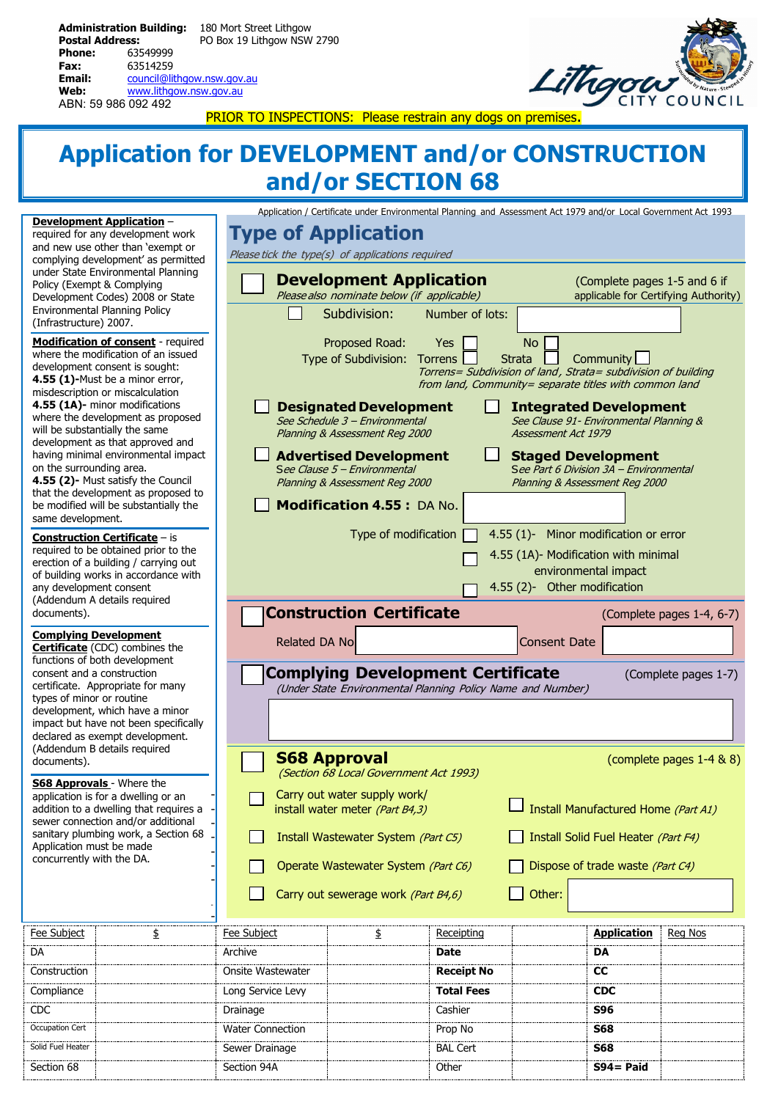| <b>Administration Building:</b> |                            | 180 Mort Street Lithgow    |  |
|---------------------------------|----------------------------|----------------------------|--|
| <b>Postal Address:</b>          |                            | PO Box 19 Lithgow NSW 2790 |  |
| <b>Phone:</b>                   | 63549999                   |                            |  |
| Fax:                            | 63514259                   |                            |  |
| Email:                          | council@lithgow.nsw.gov.au |                            |  |
| Web:                            | www.lithgow.nsw.gov.au     |                            |  |
| ABN: 59 986 092 492             |                            |                            |  |



PRIOR TO INSPECTIONS: Please restrain any dogs on premises

## **Application for DEVELOPMENT and/or CONSTRUCTION and/or SECTION 68**

Application / Certificate under Environmental Planning and Assessment Act 1979 and/or Local Government Act 1993

|                                                                                                                                                                                                                                                                                                                                            | <b>Development Application -</b><br>required for any development work<br>and new use other than 'exempt or<br>complying development' as permitted<br>under State Environmental Planning                                                                                                                                                                                                                                                                    | Application / Certificate uniter Environmental Framing and Assessment Act 1979 and/or Eocal Obterminent Act 1995<br><b>Type of Application</b><br>Please tick the type(s) of applications required<br><b>Development Application</b><br>(Complete pages 1-5 and 6 if                                                                                                                                          |                                                                                                                                                                                                                                                                                                                                                                                                                                                                                                                                                                                                                                                 |                    |                                                                                              |                    |                                      |  |  |  |  |
|--------------------------------------------------------------------------------------------------------------------------------------------------------------------------------------------------------------------------------------------------------------------------------------------------------------------------------------------|------------------------------------------------------------------------------------------------------------------------------------------------------------------------------------------------------------------------------------------------------------------------------------------------------------------------------------------------------------------------------------------------------------------------------------------------------------|---------------------------------------------------------------------------------------------------------------------------------------------------------------------------------------------------------------------------------------------------------------------------------------------------------------------------------------------------------------------------------------------------------------|-------------------------------------------------------------------------------------------------------------------------------------------------------------------------------------------------------------------------------------------------------------------------------------------------------------------------------------------------------------------------------------------------------------------------------------------------------------------------------------------------------------------------------------------------------------------------------------------------------------------------------------------------|--------------------|----------------------------------------------------------------------------------------------|--------------------|--------------------------------------|--|--|--|--|
| Policy (Exempt & Complying<br>(Infrastructure) 2007.                                                                                                                                                                                                                                                                                       | Development Codes) 2008 or State<br><b>Environmental Planning Policy</b>                                                                                                                                                                                                                                                                                                                                                                                   |                                                                                                                                                                                                                                                                                                                                                                                                               | Please also nominate below (if applicable)<br>Subdivision:                                                                                                                                                                                                                                                                                                                                                                                                                                                                                                                                                                                      | Number of lots:    |                                                                                              |                    | applicable for Certifying Authority) |  |  |  |  |
| on the surrounding area.                                                                                                                                                                                                                                                                                                                   | <b>Modification of consent</b> - required<br>where the modification of an issued<br>development consent is sought:<br>4.55 (1)-Must be a minor error,<br>misdescription or miscalculation<br>4.55 (1A)- minor modifications<br>where the development as proposed<br>will be substantially the same<br>development as that approved and<br>having minimal environmental impact<br>4.55 (2)- Must satisfy the Council<br>that the development as proposed to |                                                                                                                                                                                                                                                                                                                                                                                                               | Proposed Road:<br><b>No</b><br>Yes<br>Type of Subdivision: Torrens<br>Community<br><b>Strata</b><br>Torrens= Subdivision of land, Strata= subdivision of building<br>from land, Community= separate titles with common land<br><b>Designated Development</b><br><b>Integrated Development</b><br>See Schedule 3 - Environmental<br>See Clause 91- Environmental Planning &<br>Planning & Assessment Reg 2000<br>Assessment Act 1979<br><b>Advertised Development</b><br><b>Staged Development</b><br>See Clause 5 - Environmental<br>See Part 6 Division 3A - Environmental<br>Planning & Assessment Reg 2000<br>Planning & Assessment Reg 2000 |                    |                                                                                              |                    |                                      |  |  |  |  |
| same development.                                                                                                                                                                                                                                                                                                                          | be modified will be substantially the<br><b>Construction Certificate - is</b>                                                                                                                                                                                                                                                                                                                                                                              |                                                                                                                                                                                                                                                                                                                                                                                                               | <b>Modification 4.55: DA No.</b><br>Type of modification                                                                                                                                                                                                                                                                                                                                                                                                                                                                                                                                                                                        |                    | 4.55 (1)- Minor modification or error                                                        |                    |                                      |  |  |  |  |
| any development consent<br>documents).                                                                                                                                                                                                                                                                                                     | required to be obtained prior to the<br>erection of a building / carrying out<br>of building works in accordance with<br>(Addendum A details required                                                                                                                                                                                                                                                                                                      |                                                                                                                                                                                                                                                                                                                                                                                                               | <b>Construction Certificate</b>                                                                                                                                                                                                                                                                                                                                                                                                                                                                                                                                                                                                                 |                    | 4.55 (1A)- Modification with minimal<br>environmental impact<br>4.55 (2)- Other modification |                    | (Complete pages 1-4, 6-7)            |  |  |  |  |
| <b>Complying Development</b><br>consent and a construction<br>types of minor or routine                                                                                                                                                                                                                                                    | <b>Certificate</b> (CDC) combines the<br>functions of both development<br>certificate. Appropriate for many<br>development, which have a minor<br>impact but have not been specifically                                                                                                                                                                                                                                                                    | Related DA No                                                                                                                                                                                                                                                                                                                                                                                                 | <b>Complying Development Certificate</b><br>(Under State Environmental Planning Policy Name and Number)                                                                                                                                                                                                                                                                                                                                                                                                                                                                                                                                         |                    | <b>Consent Date</b>                                                                          |                    | (Complete pages 1-7)                 |  |  |  |  |
| declared as exempt development.<br>(Addendum B details required<br>documents).<br><b>S68 Approvals</b> - Where the<br>application is for a dwelling or an<br>addition to a dwelling that requires a<br>sewer connection and/or additional<br>sanitary plumbing work, a Section 68<br>Application must be made<br>concurrently with the DA. |                                                                                                                                                                                                                                                                                                                                                                                                                                                            | <b>S68 Approval</b><br>(complete pages 1-4 & 8)<br>(Section 68 Local Government Act 1993)<br>Carry out water supply work/<br>Install Manufactured Home (Part A1)<br>install water meter (Part B4,3)<br>Install Wastewater System (Part C5)<br>Install Solid Fuel Heater (Part F4)<br>Operate Wastewater System (Part C6)<br>Dispose of trade waste (Part C4)<br>Carry out sewerage work (Part B4,6)<br>Other: |                                                                                                                                                                                                                                                                                                                                                                                                                                                                                                                                                                                                                                                 |                    |                                                                                              |                    |                                      |  |  |  |  |
| Fee Subject                                                                                                                                                                                                                                                                                                                                | \$                                                                                                                                                                                                                                                                                                                                                                                                                                                         | <b>Fee Subject</b>                                                                                                                                                                                                                                                                                                                                                                                            | \$                                                                                                                                                                                                                                                                                                                                                                                                                                                                                                                                                                                                                                              | Receipting<br>Date |                                                                                              | <b>Application</b> | Reg Nos                              |  |  |  |  |
| DA                                                                                                                                                                                                                                                                                                                                         |                                                                                                                                                                                                                                                                                                                                                                                                                                                            | Archive                                                                                                                                                                                                                                                                                                                                                                                                       | DA                                                                                                                                                                                                                                                                                                                                                                                                                                                                                                                                                                                                                                              |                    |                                                                                              |                    |                                      |  |  |  |  |
| Construction                                                                                                                                                                                                                                                                                                                               |                                                                                                                                                                                                                                                                                                                                                                                                                                                            | Onsite Wastewater                                                                                                                                                                                                                                                                                                                                                                                             |                                                                                                                                                                                                                                                                                                                                                                                                                                                                                                                                                                                                                                                 | <b>Receipt No</b>  | <b>CC</b>                                                                                    |                    |                                      |  |  |  |  |
| Compliance                                                                                                                                                                                                                                                                                                                                 |                                                                                                                                                                                                                                                                                                                                                                                                                                                            | Long Service Levy                                                                                                                                                                                                                                                                                                                                                                                             |                                                                                                                                                                                                                                                                                                                                                                                                                                                                                                                                                                                                                                                 | <b>Total Fees</b>  |                                                                                              | <b>CDC</b>         |                                      |  |  |  |  |
| CDC                                                                                                                                                                                                                                                                                                                                        |                                                                                                                                                                                                                                                                                                                                                                                                                                                            | Drainage                                                                                                                                                                                                                                                                                                                                                                                                      |                                                                                                                                                                                                                                                                                                                                                                                                                                                                                                                                                                                                                                                 | Cashier            |                                                                                              | <b>S96</b>         |                                      |  |  |  |  |
| Occupation Cert                                                                                                                                                                                                                                                                                                                            |                                                                                                                                                                                                                                                                                                                                                                                                                                                            | <b>Water Connection</b>                                                                                                                                                                                                                                                                                                                                                                                       |                                                                                                                                                                                                                                                                                                                                                                                                                                                                                                                                                                                                                                                 | Prop No            |                                                                                              | <b>S68</b>         |                                      |  |  |  |  |

Solid Fuel Heater **Sewer Drainage BAL Cert** BAL Cert **S68** 

Section 68 Section **Section 94A** Section 94A Other Section 68 Section 68 Section 8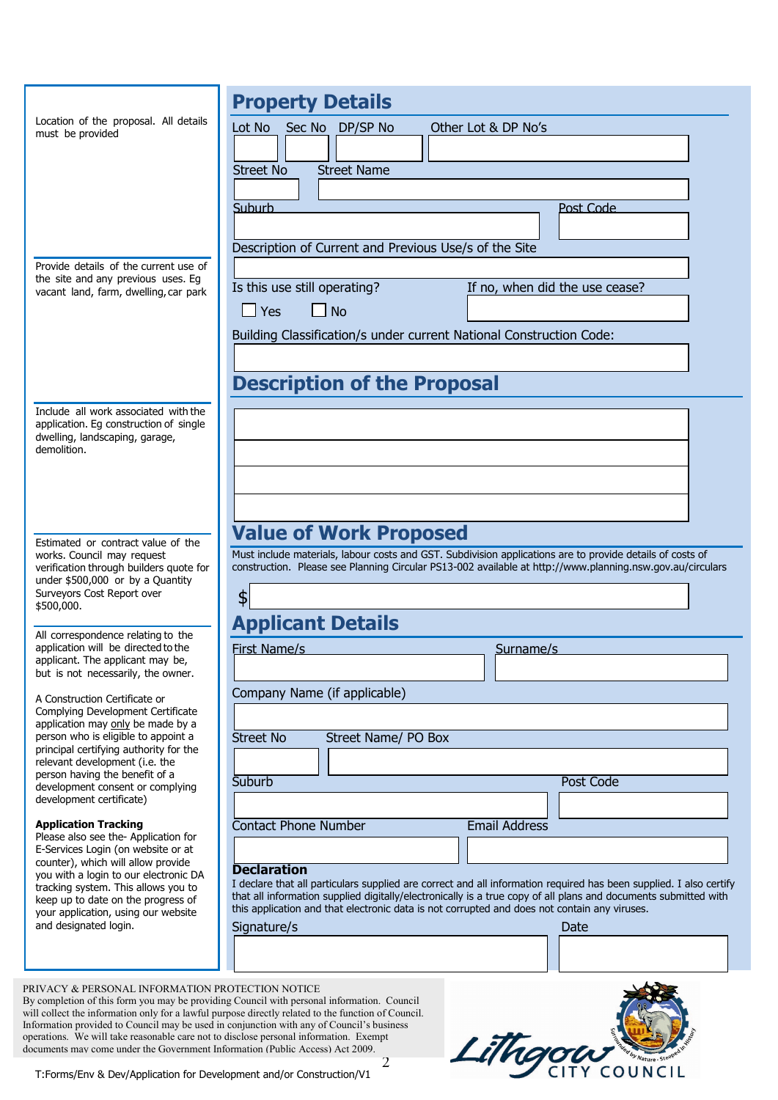|                                                                                                                    | <b>Property Details</b>                                                                                                                                                                                                               |
|--------------------------------------------------------------------------------------------------------------------|---------------------------------------------------------------------------------------------------------------------------------------------------------------------------------------------------------------------------------------|
| Location of the proposal. All details<br>must be provided                                                          | Sec No DP/SP No<br>Lot No<br>Other Lot & DP No's                                                                                                                                                                                      |
|                                                                                                                    |                                                                                                                                                                                                                                       |
|                                                                                                                    | <b>Street Name</b><br><b>Street No</b>                                                                                                                                                                                                |
|                                                                                                                    | Suburb<br>Post Code                                                                                                                                                                                                                   |
|                                                                                                                    |                                                                                                                                                                                                                                       |
|                                                                                                                    | Description of Current and Previous Use/s of the Site                                                                                                                                                                                 |
| Provide details of the current use of<br>the site and any previous uses. Eg                                        | Is this use still operating?<br>If no, when did the use cease?                                                                                                                                                                        |
| vacant land, farm, dwelling, car park                                                                              | N <sub>O</sub><br>$\Box$ Yes                                                                                                                                                                                                          |
|                                                                                                                    | Building Classification/s under current National Construction Code:                                                                                                                                                                   |
|                                                                                                                    |                                                                                                                                                                                                                                       |
|                                                                                                                    | <b>Description of the Proposal</b>                                                                                                                                                                                                    |
| Include all work associated with the                                                                               |                                                                                                                                                                                                                                       |
| application. Eg construction of single<br>dwelling, landscaping, garage,                                           |                                                                                                                                                                                                                                       |
| demolition.                                                                                                        |                                                                                                                                                                                                                                       |
|                                                                                                                    |                                                                                                                                                                                                                                       |
|                                                                                                                    |                                                                                                                                                                                                                                       |
| Estimated or contract value of the                                                                                 | <b>Value of Work Proposed</b>                                                                                                                                                                                                         |
| works. Council may request<br>verification through builders quote for                                              | Must include materials, labour costs and GST. Subdivision applications are to provide details of costs of<br>construction. Please see Planning Circular PS13-002 available at http://www.planning.nsw.gov.au/circulars                |
| under \$500,000 or by a Quantity<br>Surveyors Cost Report over                                                     |                                                                                                                                                                                                                                       |
| \$500,000.                                                                                                         | \$                                                                                                                                                                                                                                    |
| All correspondence relating to the                                                                                 | <b>Applicant Details</b>                                                                                                                                                                                                              |
| application will be directed to the<br>applicant. The applicant may be,                                            | <b>First Name/s</b><br>Surname/s                                                                                                                                                                                                      |
| but is not necessarily, the owner.                                                                                 | Company Name (if applicable)                                                                                                                                                                                                          |
| A Construction Certificate or<br>Complying Development Certificate                                                 |                                                                                                                                                                                                                                       |
| application may only be made by a<br>person who is eligible to appoint a<br>principal certifying authority for the | <b>Street No</b><br><b>Street Name/ PO Box</b>                                                                                                                                                                                        |
| relevant development (i.e. the<br>person having the benefit of a                                                   |                                                                                                                                                                                                                                       |
| development consent or complying<br>development certificate)                                                       | <b>Post Code</b><br>Suburb                                                                                                                                                                                                            |
| <b>Application Tracking</b>                                                                                        | Contact Phone Number                                                                                                                                                                                                                  |
| Please also see the-Application for<br>E-Services Login (on website or at                                          | <b>Email Address</b>                                                                                                                                                                                                                  |
| counter), which will allow provide<br>you with a login to our electronic DA                                        | <b>Declaration</b>                                                                                                                                                                                                                    |
| tracking system. This allows you to<br>keep up to date on the progress of                                          | I declare that all particulars supplied are correct and all information required has been supplied. I also certify<br>that all information supplied digitally/electronically is a true copy of all plans and documents submitted with |
| your application, using our website<br>and designated login.                                                       | this application and that electronic data is not corrupted and does not contain any viruses.                                                                                                                                          |
|                                                                                                                    | Signature/s<br>Date                                                                                                                                                                                                                   |
|                                                                                                                    |                                                                                                                                                                                                                                       |
| PRIVACY & PERSONAL INFORMATION PROTECTION NOTICE                                                                   |                                                                                                                                                                                                                                       |

2 By completion of this form you may be providing Council with personal information. Council will collect the information only for a lawful purpose directly related to the function of Council. Information provided to Council may be used in conjunction with any of Council's business operations. We will take reasonable care not to disclose personal information. Exempt documents may come under the Government Information (Public Access) Act 2009.

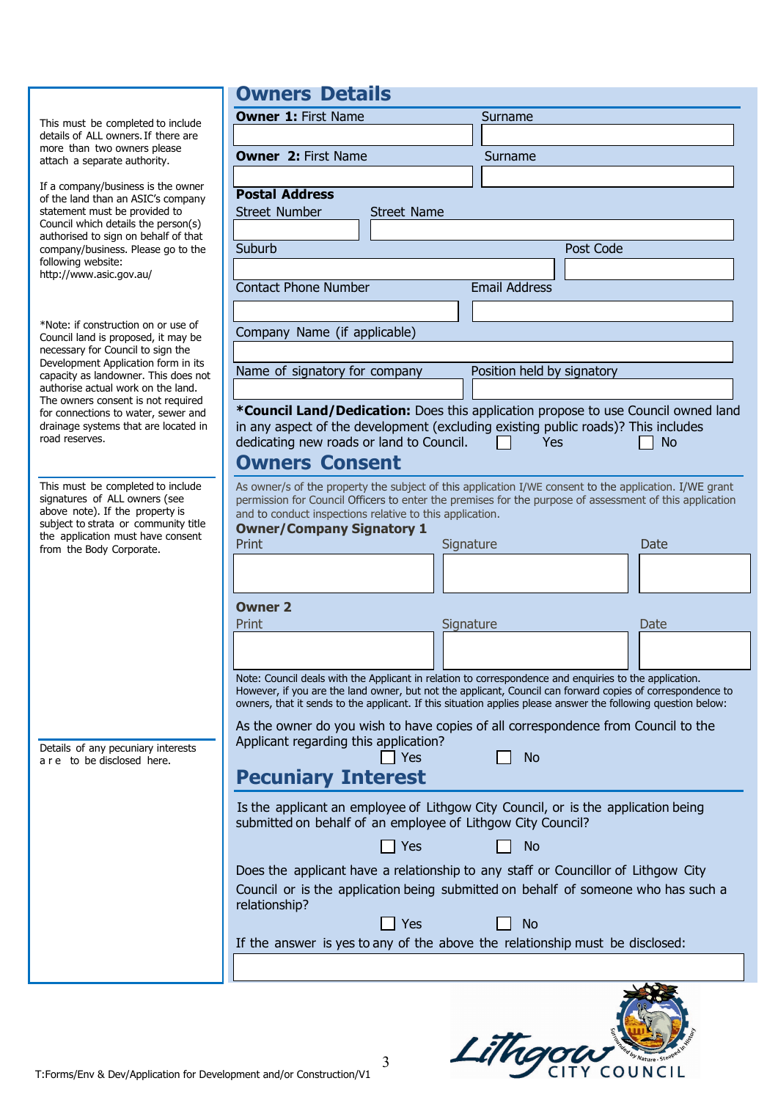**Owners Details**

| This must be completed to include<br>details of ALL owners. If there are<br>more than two owners please<br>attach a separate authority.                                                                                                                                                                                                                                     | <b>Owner 1: First Name</b><br>Surname<br><b>Owner 2: First Name</b><br>Surname                                                                                                                                                                                                                                                                                                                                                                                                                                                                                                                                                                                                                                                                                                                                                       |
|-----------------------------------------------------------------------------------------------------------------------------------------------------------------------------------------------------------------------------------------------------------------------------------------------------------------------------------------------------------------------------|--------------------------------------------------------------------------------------------------------------------------------------------------------------------------------------------------------------------------------------------------------------------------------------------------------------------------------------------------------------------------------------------------------------------------------------------------------------------------------------------------------------------------------------------------------------------------------------------------------------------------------------------------------------------------------------------------------------------------------------------------------------------------------------------------------------------------------------|
| If a company/business is the owner<br>of the land than an ASIC's company<br>statement must be provided to<br>Council which details the person(s)<br>authorised to sign on behalf of that<br>company/business. Please go to the<br>following website:<br>http://www.asic.gov.au/                                                                                             | <b>Postal Address</b><br><b>Street Number</b><br><b>Street Name</b><br>Post Code<br>Suburb<br><b>Email Address</b><br><b>Contact Phone Number</b>                                                                                                                                                                                                                                                                                                                                                                                                                                                                                                                                                                                                                                                                                    |
| *Note: if construction on or use of<br>Council land is proposed, it may be<br>necessary for Council to sign the<br>Development Application form in its<br>capacity as landowner. This does not<br>authorise actual work on the land.<br>The owners consent is not required<br>for connections to water, sewer and<br>drainage systems that are located in<br>road reserves. | Company Name (if applicable)<br>Name of signatory for company<br>Position held by signatory<br>*Council Land/Dedication: Does this application propose to use Council owned land<br>in any aspect of the development (excluding existing public roads)? This includes<br>dedicating new roads or land to Council.<br>Yes<br><b>No</b><br><b>Owners Consent</b>                                                                                                                                                                                                                                                                                                                                                                                                                                                                       |
| This must be completed to include<br>signatures of ALL owners (see<br>above note). If the property is<br>subject to strata or community title<br>the application must have consent<br>from the Body Corporate.                                                                                                                                                              | As owner/s of the property the subject of this application I/WE consent to the application. I/WE grant<br>permission for Council Officers to enter the premises for the purpose of assessment of this application<br>and to conduct inspections relative to this application.<br><b>Owner/Company Signatory 1</b><br>Print<br>Signature<br>Date<br><b>Owner 2</b><br>Signature<br>Print<br><b>Date</b><br>Note: Council deals with the Applicant in relation to correspondence and enquiries to the application.<br>However, if you are the land owner, but not the applicant, Council can forward copies of correspondence to<br>owners, that it sends to the applicant. If this situation applies please answer the following question below:<br>As the owner do you wish to have copies of all correspondence from Council to the |
| Details of any pecuniary interests<br>a r e to be disclosed here.                                                                                                                                                                                                                                                                                                           | Applicant regarding this application?<br>Yes<br><b>No</b><br><b>Pecuniary Interest</b><br>Is the applicant an employee of Lithgow City Council, or is the application being<br>submitted on behalf of an employee of Lithgow City Council?<br><b>Pres</b><br><b>No</b><br>Does the applicant have a relationship to any staff or Councillor of Lithgow City<br>Council or is the application being submitted on behalf of someone who has such a<br>relationship?<br>Yes<br><b>No</b><br>If the answer is yes to any of the above the relationship must be disclosed:                                                                                                                                                                                                                                                                |

Lithgaw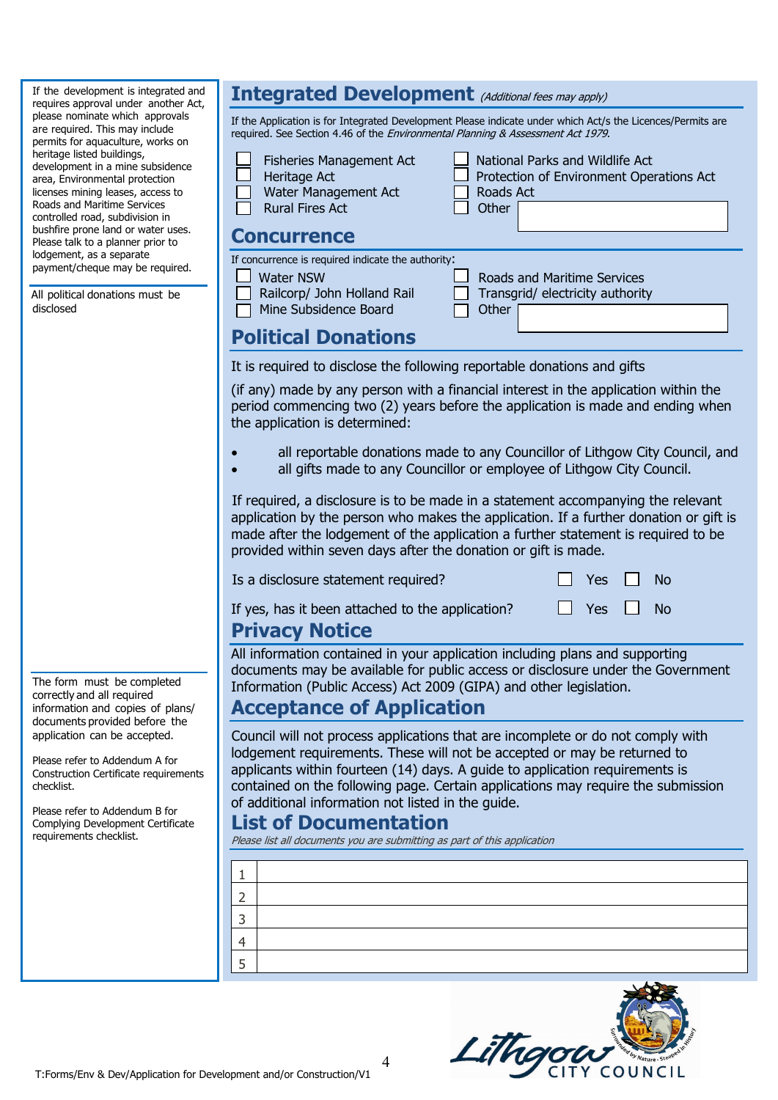If the development is integrated and requires approval under another Act, please nominate which approvals are required. This may include permits for aquaculture, works on heritage listed buildings, development in a mine subsidence area, Environmental protection licenses mining leases, access to Roads and Maritime Services controlled road, subdivision in bushfire prone land or water uses. Please talk to a planner prior to lodgement, as a separate payment/cheque may be required.

All political donations must be disclosed

| <b>Integrated Development</b> (Additional fees may apply)                                                                                                                                                                                                                                                                                                                                                                                                                                                                       |  |  |  |  |  |  |  |  |  |  |
|---------------------------------------------------------------------------------------------------------------------------------------------------------------------------------------------------------------------------------------------------------------------------------------------------------------------------------------------------------------------------------------------------------------------------------------------------------------------------------------------------------------------------------|--|--|--|--|--|--|--|--|--|--|
| If the Application is for Integrated Development Please indicate under which Act/s the Licences/Permits are<br>required. See Section 4.46 of the Environmental Planning & Assessment Act 1979.                                                                                                                                                                                                                                                                                                                                  |  |  |  |  |  |  |  |  |  |  |
| National Parks and Wildlife Act<br>Fisheries Management Act<br>Heritage Act<br>Protection of Environment Operations Act<br>Water Management Act<br>Roads Act<br><b>Rural Fires Act</b><br>Other                                                                                                                                                                                                                                                                                                                                 |  |  |  |  |  |  |  |  |  |  |
| <b>Concurrence</b>                                                                                                                                                                                                                                                                                                                                                                                                                                                                                                              |  |  |  |  |  |  |  |  |  |  |
| If concurrence is required indicate the authority:<br><b>Water NSW</b><br>Roads and Maritime Services<br>Railcorp/ John Holland Rail<br>Transgrid/ electricity authority<br>Mine Subsidence Board<br>Other<br><b>Political Donations</b>                                                                                                                                                                                                                                                                                        |  |  |  |  |  |  |  |  |  |  |
|                                                                                                                                                                                                                                                                                                                                                                                                                                                                                                                                 |  |  |  |  |  |  |  |  |  |  |
| It is required to disclose the following reportable donations and gifts<br>(if any) made by any person with a financial interest in the application within the<br>period commencing two (2) years before the application is made and ending when<br>the application is determined:<br>all reportable donations made to any Councillor of Lithgow City Council, and<br>all gifts made to any Councillor or employee of Lithgow City Council.<br>If required, a disclosure is to be made in a statement accompanying the relevant |  |  |  |  |  |  |  |  |  |  |
| application by the person who makes the application. If a further donation or gift is<br>made after the lodgement of the application a further statement is required to be<br>provided within seven days after the donation or gift is made.                                                                                                                                                                                                                                                                                    |  |  |  |  |  |  |  |  |  |  |
| Is a disclosure statement required?<br>Yes<br>No                                                                                                                                                                                                                                                                                                                                                                                                                                                                                |  |  |  |  |  |  |  |  |  |  |
| If yes, has it been attached to the application?<br>Yes<br><b>No</b><br><b>Privacy Notice</b>                                                                                                                                                                                                                                                                                                                                                                                                                                   |  |  |  |  |  |  |  |  |  |  |
| All information contained in your application including plans and supporting<br>documents may be available for public access or disclosure under the Government<br>Information (Public Access) Act 2009 (GIPA) and other legislation.<br><b>Acceptance of Application</b>                                                                                                                                                                                                                                                       |  |  |  |  |  |  |  |  |  |  |
| Council will not process applications that are incomplete or do not comply with<br>lodgement requirements. These will not be accepted or may be returned to<br>applicants within fourteen (14) days. A guide to application requirements is                                                                                                                                                                                                                                                                                     |  |  |  |  |  |  |  |  |  |  |

contained on the following page. Certain applications may require the submission of additional information not listed in the guide.

#### **List of Documentation**

Please list all documents you are submitting as part of this application



The form must be completed correctly and all required information and copies of plans/ documents provided before the application can be accepted.

Please refer to Addendum A for Construction Certificate requirements checklist.

Please refer to Addendum B for Complying Development Certificate requirements checklist.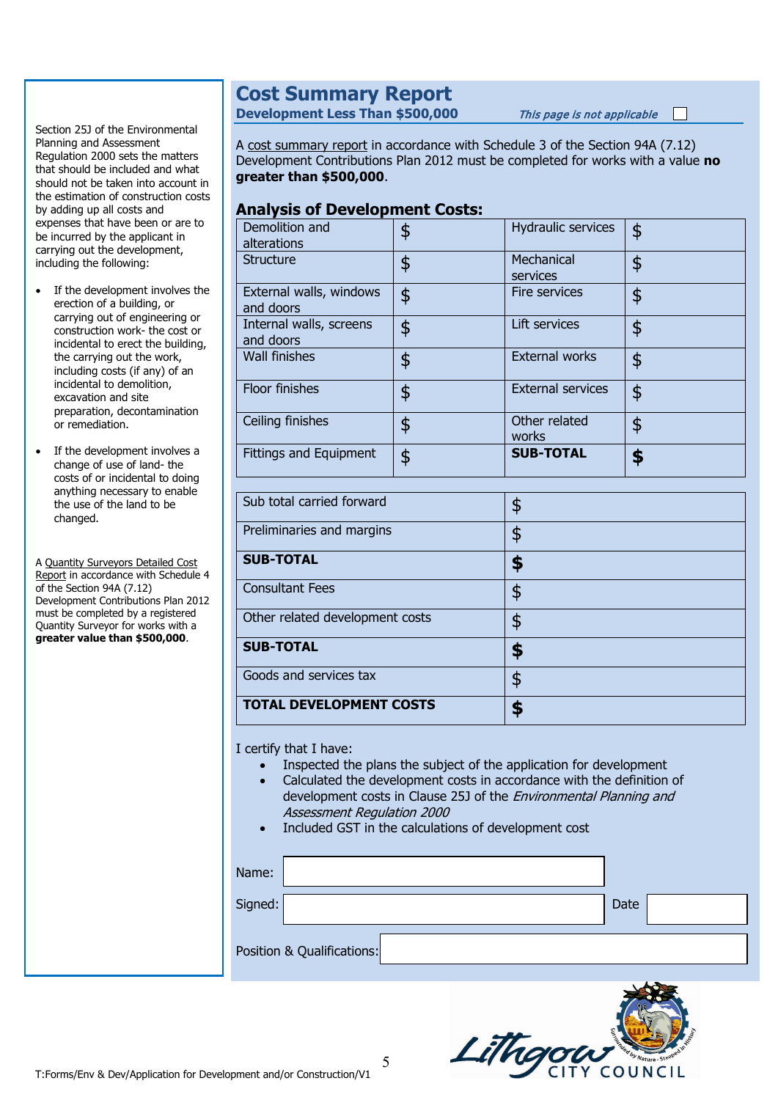#### Section 25J of the Environmental Planning and Assessment Regulation 2000 sets the matters that should be included and what should not be taken into account in the estimation of construction costs by adding up all costs and expenses that have been or are to be incurred by the applicant in carrying out the development, including the following:

- If the development involves the erection of a building, or carrying out of engineering or construction work- the cost or incidental to erect the building, the carrying out the work, including costs (if any) of an incidental to demolition, excavation and site preparation, decontamination or remediation.
- If the development involves a change of use of land- the costs of or incidental to doing anything necessary to enable the use of the land to be changed.

A Quantity Surveyors Detailed Cost Report in accordance with Schedule 4 of the Section 94A (7.12) Development Contributions Plan 2012 must be completed by a registered Quantity Surveyor for works with a **greater value than \$500,000**.

#### **Cost Summary Report**

**Development Less Than \$500,000** This page is not applicable

A cost summary report in accordance with Schedule 3 of the Section 94A (7.12) Development Contributions Plan 2012 must be completed for works with a value **no greater than \$500,000**.

#### **Analysis of Development Costs:**

| Demolition and<br>alterations        | \$<br>Hydraulic services       | \$ |
|--------------------------------------|--------------------------------|----|
| <b>Structure</b>                     | \$<br>Mechanical<br>services   | \$ |
| External walls, windows<br>and doors | \$<br>Fire services            | \$ |
| Internal walls, screens<br>and doors | \$<br>Lift services            | \$ |
| Wall finishes                        | \$<br><b>External works</b>    | \$ |
| Floor finishes                       | \$<br><b>External services</b> | \$ |
| Ceiling finishes                     | \$<br>Other related<br>works   | \$ |
| <b>Fittings and Equipment</b>        | \$<br><b>SUB-TOTAL</b>         |    |

| Sub total carried forward       | 5  |
|---------------------------------|----|
| Preliminaries and margins       | \$ |
| <b>SUB-TOTAL</b>                |    |
| <b>Consultant Fees</b>          | \$ |
| Other related development costs | \$ |
| <b>SUB-TOTAL</b>                |    |
| Goods and services tax          | ፍ  |
| <b>TOTAL DEVELOPMENT COSTS</b>  |    |

I certify that I have:

- Inspected the plans the subject of the application for development
- Calculated the development costs in accordance with the definition of development costs in Clause 25J of the *Environmental Planning and* Assessment Regulation 2000
- Included GST in the calculations of development cost

| Name:   |                            |  |      |  |
|---------|----------------------------|--|------|--|
| Signed: |                            |  | Date |  |
|         | Position & Qualifications: |  |      |  |

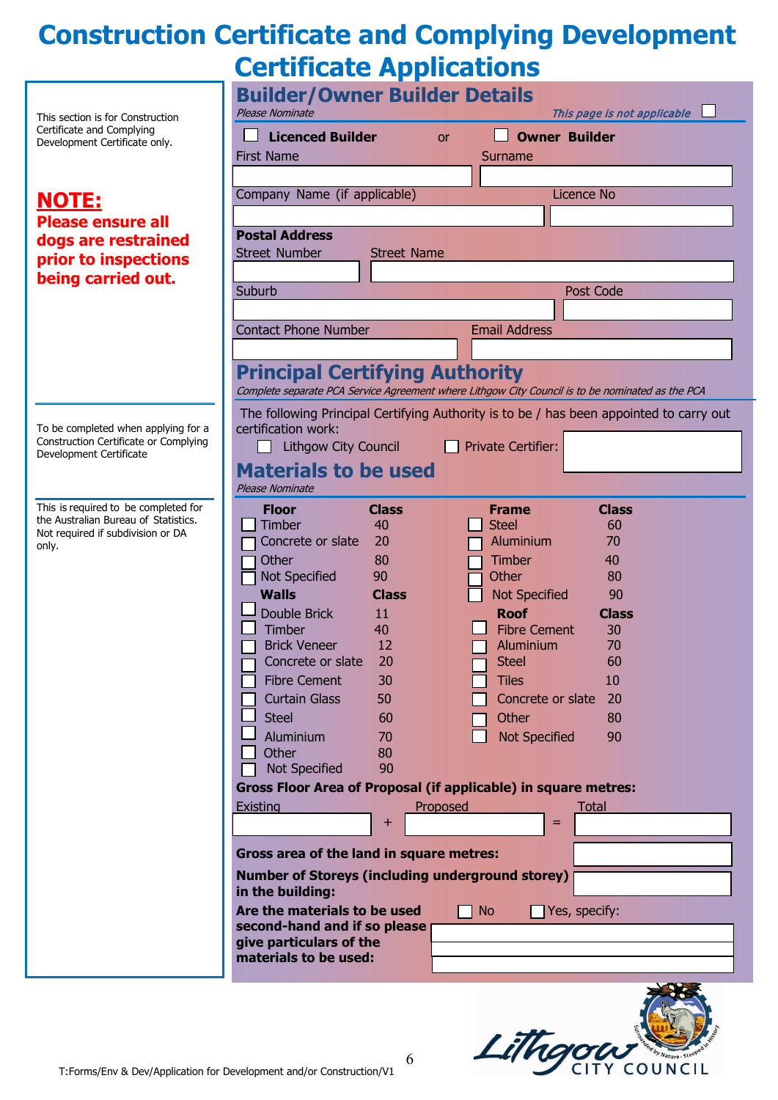# **Construction Certificate and Complying Development Certificate Applications**

| This section is for Construction                                             | <b>Builder/Owner Builder Details</b><br>This page is not applicable<br>Please Nominate                                                    |  |  |  |  |  |  |  |  |  |  |
|------------------------------------------------------------------------------|-------------------------------------------------------------------------------------------------------------------------------------------|--|--|--|--|--|--|--|--|--|--|
| Certificate and Complying<br>Development Certificate only.                   | <b>Licenced Builder</b><br><b>Owner Builder</b><br><b>or</b>                                                                              |  |  |  |  |  |  |  |  |  |  |
|                                                                              | <b>First Name</b><br>Surname                                                                                                              |  |  |  |  |  |  |  |  |  |  |
|                                                                              |                                                                                                                                           |  |  |  |  |  |  |  |  |  |  |
| <u>NOTE:</u>                                                                 | Company Name (if applicable)<br><b>Licence No</b>                                                                                         |  |  |  |  |  |  |  |  |  |  |
| <b>Please ensure all</b>                                                     |                                                                                                                                           |  |  |  |  |  |  |  |  |  |  |
| dogs are restrained                                                          | <b>Postal Address</b>                                                                                                                     |  |  |  |  |  |  |  |  |  |  |
| prior to inspections                                                         | <b>Street Number</b><br><b>Street Name</b>                                                                                                |  |  |  |  |  |  |  |  |  |  |
| being carried out.                                                           |                                                                                                                                           |  |  |  |  |  |  |  |  |  |  |
|                                                                              | Post Code<br>Suburb                                                                                                                       |  |  |  |  |  |  |  |  |  |  |
|                                                                              | <b>Contact Phone Number</b><br><b>Email Address</b>                                                                                       |  |  |  |  |  |  |  |  |  |  |
|                                                                              |                                                                                                                                           |  |  |  |  |  |  |  |  |  |  |
|                                                                              |                                                                                                                                           |  |  |  |  |  |  |  |  |  |  |
|                                                                              | <b>Principal Certifying Authority</b><br>Complete separate PCA Service Agreement where Lithgow City Council is to be nominated as the PCA |  |  |  |  |  |  |  |  |  |  |
|                                                                              |                                                                                                                                           |  |  |  |  |  |  |  |  |  |  |
| To be completed when applying for a                                          | The following Principal Certifying Authority is to be / has been appointed to carry out<br>certification work:                            |  |  |  |  |  |  |  |  |  |  |
| Construction Certificate or Complying<br>Development Certificate             | <b>Private Certifier:</b><br><b>Lithgow City Council</b>                                                                                  |  |  |  |  |  |  |  |  |  |  |
|                                                                              | <b>Materials to be used</b>                                                                                                               |  |  |  |  |  |  |  |  |  |  |
|                                                                              | Please Nominate                                                                                                                           |  |  |  |  |  |  |  |  |  |  |
| This is required to be completed for<br>the Australian Bureau of Statistics. | <b>Class</b><br><b>Class</b><br><b>Floor</b><br><b>Frame</b>                                                                              |  |  |  |  |  |  |  |  |  |  |
| Not required if subdivision or DA                                            | Timber<br>40<br><b>Steel</b><br>60<br>Concrete or slate<br>Aluminium<br>70<br>20                                                          |  |  |  |  |  |  |  |  |  |  |
| only.                                                                        | Other<br>Timber<br>80<br>40                                                                                                               |  |  |  |  |  |  |  |  |  |  |
|                                                                              | Not Specified<br>90<br>Other<br>80                                                                                                        |  |  |  |  |  |  |  |  |  |  |
|                                                                              | <b>Walls</b><br><b>Class</b><br><b>Not Specified</b><br>90                                                                                |  |  |  |  |  |  |  |  |  |  |
|                                                                              | Double Brick<br><b>Roof</b><br>11<br><b>Class</b>                                                                                         |  |  |  |  |  |  |  |  |  |  |
|                                                                              | Timber<br><b>Fibre Cement</b><br>40<br>30<br><b>Brick Veneer</b>                                                                          |  |  |  |  |  |  |  |  |  |  |
|                                                                              | 12<br>70<br>Aluminium<br>20<br>Concrete or slate<br><b>Steel</b><br>60                                                                    |  |  |  |  |  |  |  |  |  |  |
|                                                                              | <b>Fibre Cement</b><br>30<br>10<br><b>Tiles</b>                                                                                           |  |  |  |  |  |  |  |  |  |  |
|                                                                              | <b>Curtain Glass</b><br>Concrete or slate<br>50<br>20                                                                                     |  |  |  |  |  |  |  |  |  |  |
|                                                                              | <b>Steel</b><br>Other<br>60<br>80                                                                                                         |  |  |  |  |  |  |  |  |  |  |
|                                                                              | <b>Aluminium</b><br><b>Not Specified</b><br>70<br>90                                                                                      |  |  |  |  |  |  |  |  |  |  |
|                                                                              | Other<br>80<br>Not Specified<br>90                                                                                                        |  |  |  |  |  |  |  |  |  |  |
|                                                                              | <b>Gross Floor Area of Proposal (if applicable) in square metres:</b>                                                                     |  |  |  |  |  |  |  |  |  |  |
|                                                                              | Existing<br>Proposed<br><b>Total</b>                                                                                                      |  |  |  |  |  |  |  |  |  |  |
|                                                                              | +<br>=                                                                                                                                    |  |  |  |  |  |  |  |  |  |  |
|                                                                              |                                                                                                                                           |  |  |  |  |  |  |  |  |  |  |
|                                                                              | Gross area of the land in square metres:                                                                                                  |  |  |  |  |  |  |  |  |  |  |
|                                                                              | <b>Number of Storeys (including underground storey)</b><br>in the building:                                                               |  |  |  |  |  |  |  |  |  |  |
|                                                                              | Are the materials to be used<br>Yes, specify:<br><b>No</b>                                                                                |  |  |  |  |  |  |  |  |  |  |
|                                                                              | second-hand and if so please                                                                                                              |  |  |  |  |  |  |  |  |  |  |
|                                                                              | give particulars of the<br>materials to be used:                                                                                          |  |  |  |  |  |  |  |  |  |  |
|                                                                              |                                                                                                                                           |  |  |  |  |  |  |  |  |  |  |



6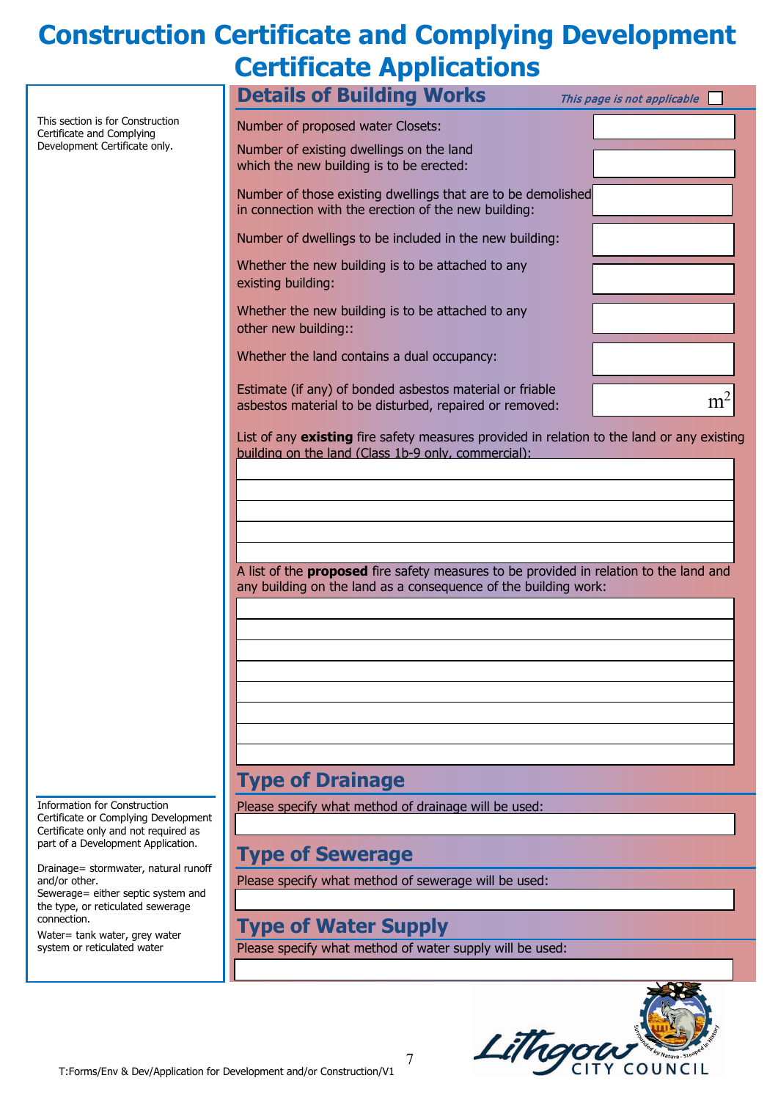# **Construction Certificate and Complying Development Certificate Applications**

|                                                               | <b>Details of Building Works</b>                                                                                                                  | This page is not applicable |
|---------------------------------------------------------------|---------------------------------------------------------------------------------------------------------------------------------------------------|-----------------------------|
| This section is for Construction<br>Certificate and Complying | Number of proposed water Closets:                                                                                                                 |                             |
| Development Certificate only.                                 | Number of existing dwellings on the land<br>which the new building is to be erected:                                                              |                             |
|                                                               | Number of those existing dwellings that are to be demolished<br>in connection with the erection of the new building:                              |                             |
|                                                               | Number of dwellings to be included in the new building:                                                                                           |                             |
|                                                               | Whether the new building is to be attached to any<br>existing building:                                                                           |                             |
|                                                               | Whether the new building is to be attached to any<br>other new building::                                                                         |                             |
|                                                               | Whether the land contains a dual occupancy:                                                                                                       |                             |
|                                                               | Estimate (if any) of bonded asbestos material or friable<br>asbestos material to be disturbed, repaired or removed:                               | m <sup>2</sup>              |
|                                                               | List of any existing fire safety measures provided in relation to the land or any existing<br>building on the land (Class 1b-9 only, commercial): |                             |
|                                                               |                                                                                                                                                   |                             |
|                                                               |                                                                                                                                                   |                             |
|                                                               |                                                                                                                                                   |                             |
|                                                               | d five enfety means wee to be nuavided in velation to the land and<br>$A$ light of the                                                            |                             |

A list of the **proposed** fire safety measures to be provided in relation to the land and any building on the land as a consequence of the building work:

## **Type of Drainage**

Please specify what method of drainage will be used:

### **Type of Sewerage**

Please specify what method of sewerage will be used:

### **Type of Water Supply**

Please specify what method of water supply will be used:



Information for Construction Certificate or Complying Development Certificate only and not required as part of a Development Application.

Drainage= stormwater, natural runoff and/or other.

Sewerage= either septic system and the type, or reticulated sewerage connection.

Water= tank water, grey water system or reticulated water

7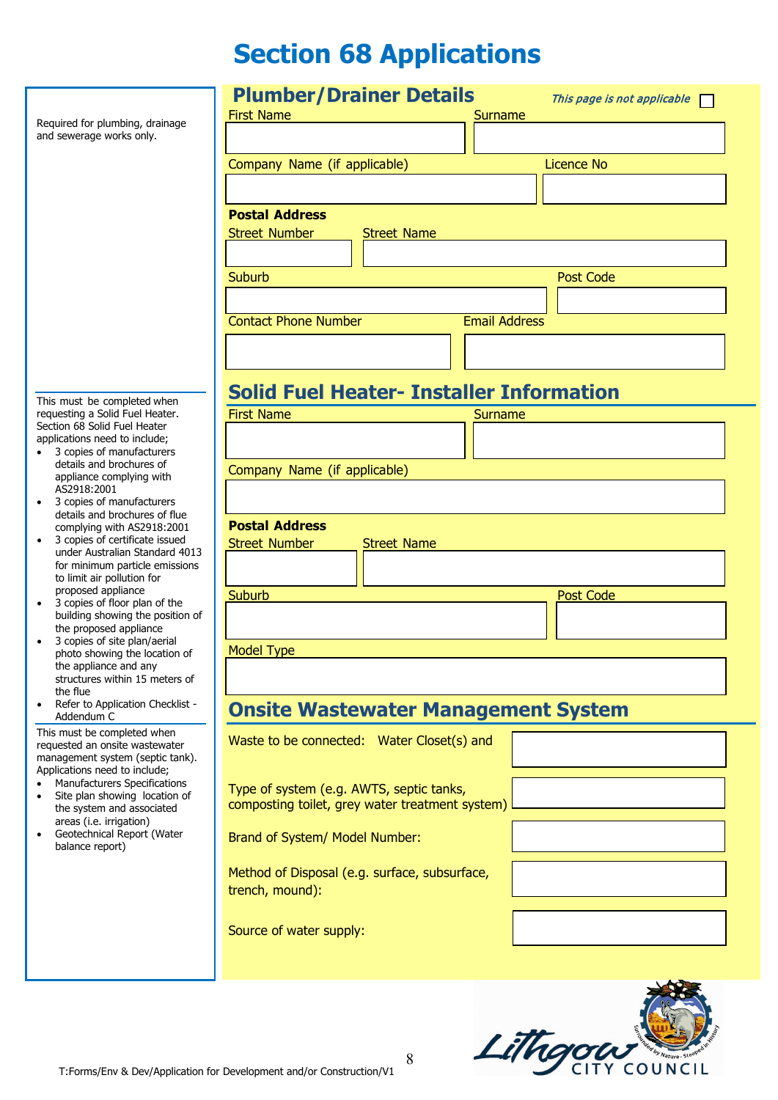# **Section 68 Applications**

|                                                                                            | <b>Plumber/Drainer Details</b><br>This page is not applicable       |  |  |  |  |  |  |  |  |  |  |
|--------------------------------------------------------------------------------------------|---------------------------------------------------------------------|--|--|--|--|--|--|--|--|--|--|
| Required for plumbing, drainage                                                            | <b>First Name</b><br>Surname                                        |  |  |  |  |  |  |  |  |  |  |
| and sewerage works only.                                                                   |                                                                     |  |  |  |  |  |  |  |  |  |  |
|                                                                                            | Company Name (if applicable)<br><b>Licence No</b>                   |  |  |  |  |  |  |  |  |  |  |
|                                                                                            |                                                                     |  |  |  |  |  |  |  |  |  |  |
|                                                                                            | <b>Postal Address</b>                                               |  |  |  |  |  |  |  |  |  |  |
|                                                                                            | <b>Street Number</b><br><b>Street Name</b>                          |  |  |  |  |  |  |  |  |  |  |
|                                                                                            |                                                                     |  |  |  |  |  |  |  |  |  |  |
|                                                                                            | <b>Post Code</b><br>Suburb                                          |  |  |  |  |  |  |  |  |  |  |
|                                                                                            |                                                                     |  |  |  |  |  |  |  |  |  |  |
|                                                                                            | <b>Contact Phone Number</b><br><b>Email Address</b>                 |  |  |  |  |  |  |  |  |  |  |
|                                                                                            |                                                                     |  |  |  |  |  |  |  |  |  |  |
|                                                                                            | <b>Solid Fuel Heater- Installer Information</b>                     |  |  |  |  |  |  |  |  |  |  |
| This must be completed when<br>requesting a Solid Fuel Heater.                             | <b>First Name</b><br>Surname                                        |  |  |  |  |  |  |  |  |  |  |
| Section 68 Solid Fuel Heater<br>applications need to include;<br>3 copies of manufacturers |                                                                     |  |  |  |  |  |  |  |  |  |  |
| details and brochures of                                                                   | Company Name (if applicable)                                        |  |  |  |  |  |  |  |  |  |  |
| appliance complying with<br>AS2918:2001                                                    |                                                                     |  |  |  |  |  |  |  |  |  |  |
| 3 copies of manufacturers<br>$\bullet$<br>details and brochures of flue                    |                                                                     |  |  |  |  |  |  |  |  |  |  |
| complying with AS2918:2001<br>3 copies of certificate issued<br>$\bullet$                  | <b>Postal Address</b><br><b>Street Number</b><br><b>Street Name</b> |  |  |  |  |  |  |  |  |  |  |
| under Australian Standard 4013<br>for minimum particle emissions                           |                                                                     |  |  |  |  |  |  |  |  |  |  |
| to limit air pollution for                                                                 |                                                                     |  |  |  |  |  |  |  |  |  |  |
| proposed appliance<br>3 copies of floor plan of the<br>$\bullet$                           | Suburb<br><b>Post Code</b>                                          |  |  |  |  |  |  |  |  |  |  |
| building showing the position of<br>the proposed appliance                                 |                                                                     |  |  |  |  |  |  |  |  |  |  |
| 3 copies of site plan/aerial<br>photo showing the location of                              | <b>Model Type</b>                                                   |  |  |  |  |  |  |  |  |  |  |
| the appliance and any<br>structures within 15 meters of                                    |                                                                     |  |  |  |  |  |  |  |  |  |  |
| the flue<br>Refer to Application Checklist -<br>$\bullet$                                  |                                                                     |  |  |  |  |  |  |  |  |  |  |
| Addendum C                                                                                 | <b>Onsite Wastewater Management System</b>                          |  |  |  |  |  |  |  |  |  |  |
| This must be completed when<br>requested an onsite wastewater                              | Waste to be connected: Water Closet(s) and                          |  |  |  |  |  |  |  |  |  |  |
| management system (septic tank).<br>Applications need to include;                          |                                                                     |  |  |  |  |  |  |  |  |  |  |
| Manufacturers Specifications<br>$\bullet$<br>Site plan showing location of<br>$\bullet$    | Type of system (e.g. AWTS, septic tanks,                            |  |  |  |  |  |  |  |  |  |  |
| the system and associated<br>areas (i.e. irrigation)                                       | composting toilet, grey water treatment system)                     |  |  |  |  |  |  |  |  |  |  |
| Geotechnical Report (Water<br>$\bullet$<br>balance report)                                 | Brand of System/ Model Number:                                      |  |  |  |  |  |  |  |  |  |  |
|                                                                                            | Method of Disposal (e.g. surface, subsurface,                       |  |  |  |  |  |  |  |  |  |  |
|                                                                                            | trench, mound):                                                     |  |  |  |  |  |  |  |  |  |  |
|                                                                                            | Source of water supply:                                             |  |  |  |  |  |  |  |  |  |  |
|                                                                                            |                                                                     |  |  |  |  |  |  |  |  |  |  |
|                                                                                            |                                                                     |  |  |  |  |  |  |  |  |  |  |
|                                                                                            |                                                                     |  |  |  |  |  |  |  |  |  |  |